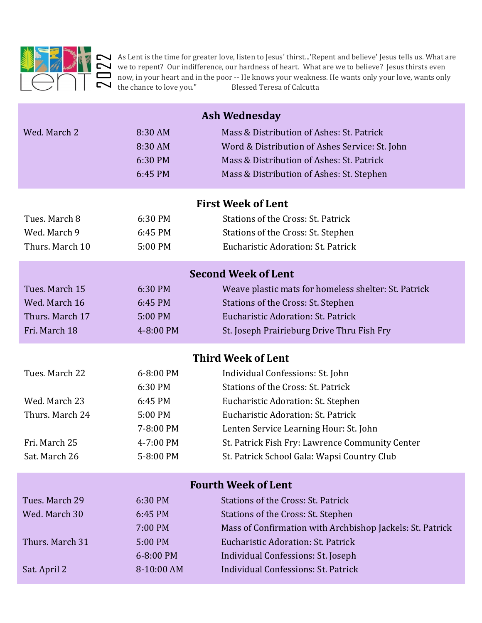

As Lent is the time for greater love, listen to Jesus' thirst...'Repent and believe' Jesus tells us. What are we to repent? Our indifference, our hardness of heart. What are we to believe? Jesus thirsts even now, in your heart and in the poor -- He knows your weakness. He wants only your love, wants only the chance to love you." Blessed Teresa of Calcutta

| $\overline{\mathbf{c}}$                                                              | the chance to love you."                                                          | As Lent is the time for greater love, listen to Jesus' thirst'Repent and believe' Jesus tells us. What are<br>we to repent? Our indifference, our hardness of heart. What are we to believe? Jesus thirsts even<br>now, in your heart and in the poor -- He knows your weakness. He wants only your love, wants only<br><b>Blessed Teresa of Calcutta</b> |
|--------------------------------------------------------------------------------------|-----------------------------------------------------------------------------------|-----------------------------------------------------------------------------------------------------------------------------------------------------------------------------------------------------------------------------------------------------------------------------------------------------------------------------------------------------------|
| Wed. March 2                                                                         | 8:30 AM<br>8:30 AM<br>6:30 PM<br>6:45 PM                                          | <b>Ash Wednesday</b><br>Mass & Distribution of Ashes: St. Patrick<br>Word & Distribution of Ashes Service: St. John<br>Mass & Distribution of Ashes: St. Patrick<br>Mass & Distribution of Ashes: St. Stephen                                                                                                                                             |
| Tues. March 8<br>Wed. March 9<br>Thurs. March 10                                     | 6:30 PM<br>6:45 PM<br>5:00 PM                                                     | <b>First Week of Lent</b><br>Stations of the Cross: St. Patrick<br>Stations of the Cross: St. Stephen<br>Eucharistic Adoration: St. Patrick                                                                                                                                                                                                               |
| Tues, March 15<br>Wed. March 16<br>Thurs. March 17<br>Fri. March 18                  | 6:30 PM<br>6:45 PM<br>5:00 PM<br>4-8:00 PM                                        | <b>Second Week of Lent</b><br>Weave plastic mats for homeless shelter: St. Patrick<br>Stations of the Cross: St. Stephen<br>Eucharistic Adoration: St. Patrick<br>St. Joseph Prairieburg Drive Thru Fish Fry                                                                                                                                              |
| Tues. March 22<br>Wed. March 23<br>Thurs. March 24<br>Fri. March 25<br>Sat. March 26 | 6-8:00 PM<br>6:30 PM<br>6:45 PM<br>5:00 PM<br>7-8:00 PM<br>4-7:00 PM<br>5-8:00 PM | <b>Third Week of Lent</b><br>Individual Confessions: St. John<br>Stations of the Cross: St. Patrick<br>Eucharistic Adoration: St. Stephen<br>Eucharistic Adoration: St. Patrick<br>Lenten Service Learning Hour: St. John<br>St. Patrick Fish Fry: Lawrence Community Center<br>St. Patrick School Gala: Wapsi Country Club                               |
| Tues. March 29<br>Wed. March 30<br>Thurs. March 31                                   | 6:30 PM<br>6:45 PM<br>7:00 PM<br>5:00 PM<br>6-8:00 PM                             | <b>Fourth Week of Lent</b><br><b>Stations of the Cross: St. Patrick</b><br>Stations of the Cross: St. Stephen<br>Mass of Confirmation with Archbishop Jackels: St. Patrick<br>Eucharistic Adoration: St. Patrick<br>Individual Confessions: St. Joseph<br>Individual Confessions: St. Patrick                                                             |
| Sat. April 2                                                                         | 8-10:00 AM                                                                        |                                                                                                                                                                                                                                                                                                                                                           |